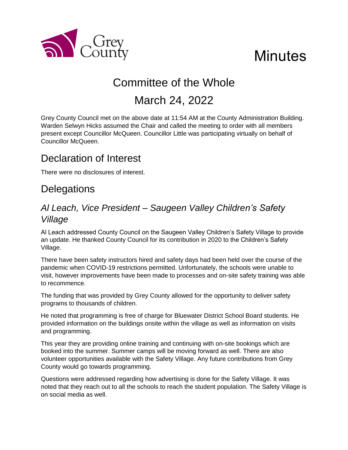

# **Minutes**

## Committee of the Whole

## March 24, 2022

Grey County Council met on the above date at 11:54 AM at the County Administration Building. Warden Selwyn Hicks assumed the Chair and called the meeting to order with all members present except Councillor McQueen. Councillor Little was participating virtually on behalf of Councillor McQueen.

## Declaration of Interest

There were no disclosures of interest.

## **Delegations**

#### *Al Leach, Vice President – Saugeen Valley Children's Safety Village*

Al Leach addressed County Council on the Saugeen Valley Children's Safety Village to provide an update. He thanked County Council for its contribution in 2020 to the Children's Safety Village.

There have been safety instructors hired and safety days had been held over the course of the pandemic when COVID-19 restrictions permitted. Unfortunately, the schools were unable to visit, however improvements have been made to processes and on-site safety training was able to recommence.

The funding that was provided by Grey County allowed for the opportunity to deliver safety programs to thousands of children.

He noted that programming is free of charge for Bluewater District School Board students. He provided information on the buildings onsite within the village as well as information on visits and programming.

This year they are providing online training and continuing with on-site bookings which are booked into the summer. Summer camps will be moving forward as well. There are also volunteer opportunities available with the Safety Village. Any future contributions from Grey County would go towards programming.

Questions were addressed regarding how advertising is done for the Safety Village. It was noted that they reach out to all the schools to reach the student population. The Safety Village is on social media as well.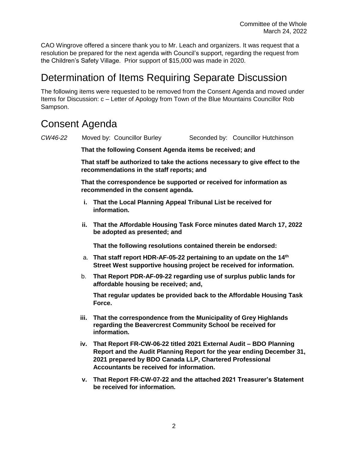CAO Wingrove offered a sincere thank you to Mr. Leach and organizers. It was request that a resolution be prepared for the next agenda with Council's support, regarding the request from the Children's Safety Village. Prior support of \$15,000 was made in 2020.

### Determination of Items Requiring Separate Discussion

The following items were requested to be removed from the Consent Agenda and moved under Items for Discussion: c – Letter of Apology from Town of the Blue Mountains Councillor Rob Sampson.

## Consent Agenda

| CW46-22 |                                                                                                                           | Moved by: Councillor Burley                                                                                                                                                                                                                       |  | Seconded by: Councillor Hutchinson |
|---------|---------------------------------------------------------------------------------------------------------------------------|---------------------------------------------------------------------------------------------------------------------------------------------------------------------------------------------------------------------------------------------------|--|------------------------------------|
|         | That the following Consent Agenda items be received; and                                                                  |                                                                                                                                                                                                                                                   |  |                                    |
|         | That staff be authorized to take the actions necessary to give effect to the<br>recommendations in the staff reports; and |                                                                                                                                                                                                                                                   |  |                                    |
|         | That the correspondence be supported or received for information as<br>recommended in the consent agenda.                 |                                                                                                                                                                                                                                                   |  |                                    |
|         | i.                                                                                                                        | That the Local Planning Appeal Tribunal List be received for<br>information.                                                                                                                                                                      |  |                                    |
|         |                                                                                                                           | ii. That the Affordable Housing Task Force minutes dated March 17, 2022<br>be adopted as presented; and                                                                                                                                           |  |                                    |
|         |                                                                                                                           | That the following resolutions contained therein be endorsed:                                                                                                                                                                                     |  |                                    |
|         |                                                                                                                           | a. That staff report HDR-AF-05-22 pertaining to an update on the 14th<br>Street West supportive housing project be received for information.                                                                                                      |  |                                    |
|         | b.                                                                                                                        | That Report PDR-AF-09-22 regarding use of surplus public lands for<br>affordable housing be received; and,                                                                                                                                        |  |                                    |
|         |                                                                                                                           | That regular updates be provided back to the Affordable Housing Task<br>Force.                                                                                                                                                                    |  |                                    |
|         | iii.                                                                                                                      | That the correspondence from the Municipality of Grey Highlands<br>regarding the Beavercrest Community School be received for<br>information.                                                                                                     |  |                                    |
|         | iv.                                                                                                                       | That Report FR-CW-06-22 titled 2021 External Audit - BDO Planning<br>Report and the Audit Planning Report for the year ending December 31,<br>2021 prepared by BDO Canada LLP, Chartered Professional<br>Accountants be received for information. |  |                                    |

**v. That Report FR-CW-07-22 and the attached 2021 Treasurer's Statement be received for information.**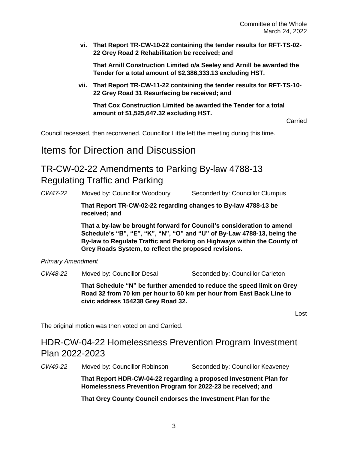**vi. That Report TR-CW-10-22 containing the tender results for RFT-TS-02- 22 Grey Road 2 Rehabilitation be received; and**

**That Arnill Construction Limited o/a Seeley and Arnill be awarded the Tender for a total amount of \$2,386,333.13 excluding HST.**

**vii. That Report TR-CW-11-22 containing the tender results for RFT-TS-10- 22 Grey Road 31 Resurfacing be received; and**

**That Cox Construction Limited be awarded the Tender for a total amount of \$1,525,647.32 excluding HST.**

Carried

Council recessed, then reconvened. Councillor Little left the meeting during this time.

Items for Direction and Discussion

TR-CW-02-22 Amendments to Parking By-law 4788-13 Regulating Traffic and Parking

*CW47-22* Moved by: Councillor Woodbury Seconded by: Councillor Clumpus

**That Report TR-CW-02-22 regarding changes to By-law 4788-13 be received; and**

**That a by-law be brought forward for Council's consideration to amend Schedule's "B", "E", "K", "N", "O" and "U" of By-Law 4788-13, being the By-law to Regulate Traffic and Parking on Highways within the County of Grey Roads System, to reflect the proposed revisions.**

*Primary Amendment* 

*CW48-22* Moved by: Councillor Desai Seconded by: Councillor Carleton

**That Schedule "N" be further amended to reduce the speed limit on Grey Road 32 from 70 km per hour to 50 km per hour from East Back Line to civic address 154238 Grey Road 32.** 

Lost

The original motion was then voted on and Carried.

#### HDR-CW-04-22 Homelessness Prevention Program Investment Plan 2022-2023

*CW49-22* Moved by: Councillor Robinson Seconded by: Councillor Keaveney

**That Report HDR-CW-04-22 regarding a proposed Investment Plan for Homelessness Prevention Program for 2022-23 be received; and**

**That Grey County Council endorses the Investment Plan for the**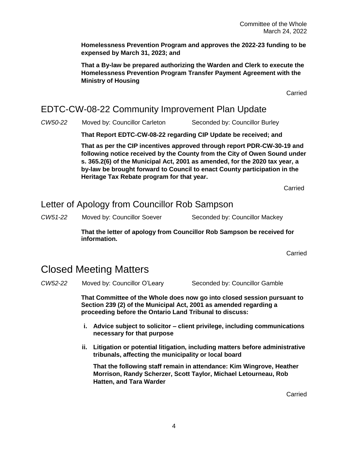**Homelessness Prevention Program and approves the 2022-23 funding to be expensed by March 31, 2023; and**

**That a By-law be prepared authorizing the Warden and Clerk to execute the Homelessness Prevention Program Transfer Payment Agreement with the Ministry of Housing** 

Carried

#### EDTC-CW-08-22 Community Improvement Plan Update

*CW50-22* Moved by: Councillor Carleton Seconded by: Councillor Burley

**That Report EDTC-CW-08-22 regarding CIP Update be received; and**

**That as per the CIP incentives approved through report PDR-CW-30-19 and following notice received by the County from the City of Owen Sound under s. 365.2(6) of the Municipal Act, 2001 as amended, for the 2020 tax year, a by-law be brought forward to Council to enact County participation in the Heritage Tax Rebate program for that year.**

**Carried** 

#### Letter of Apology from Councillor Rob Sampson

*CW51-22* Moved by: Councillor Soever Seconded by: Councillor Mackey

**That the letter of apology from Councillor Rob Sampson be received for information.** 

Carried

#### Closed Meeting Matters

*CW52-22* Moved by: Councillor O'Leary Seconded by: Councillor Gamble

**That Committee of the Whole does now go into closed session pursuant to Section 239 (2) of the Municipal Act, 2001 as amended regarding a proceeding before the Ontario Land Tribunal to discuss:**

- **i. Advice subject to solicitor – client privilege, including communications necessary for that purpose**
- **ii. Litigation or potential litigation, including matters before administrative tribunals, affecting the municipality or local board**

**That the following staff remain in attendance: Kim Wingrove, Heather Morrison, Randy Scherzer, Scott Taylor, Michael Letourneau, Rob Hatten, and Tara Warder**

Carried